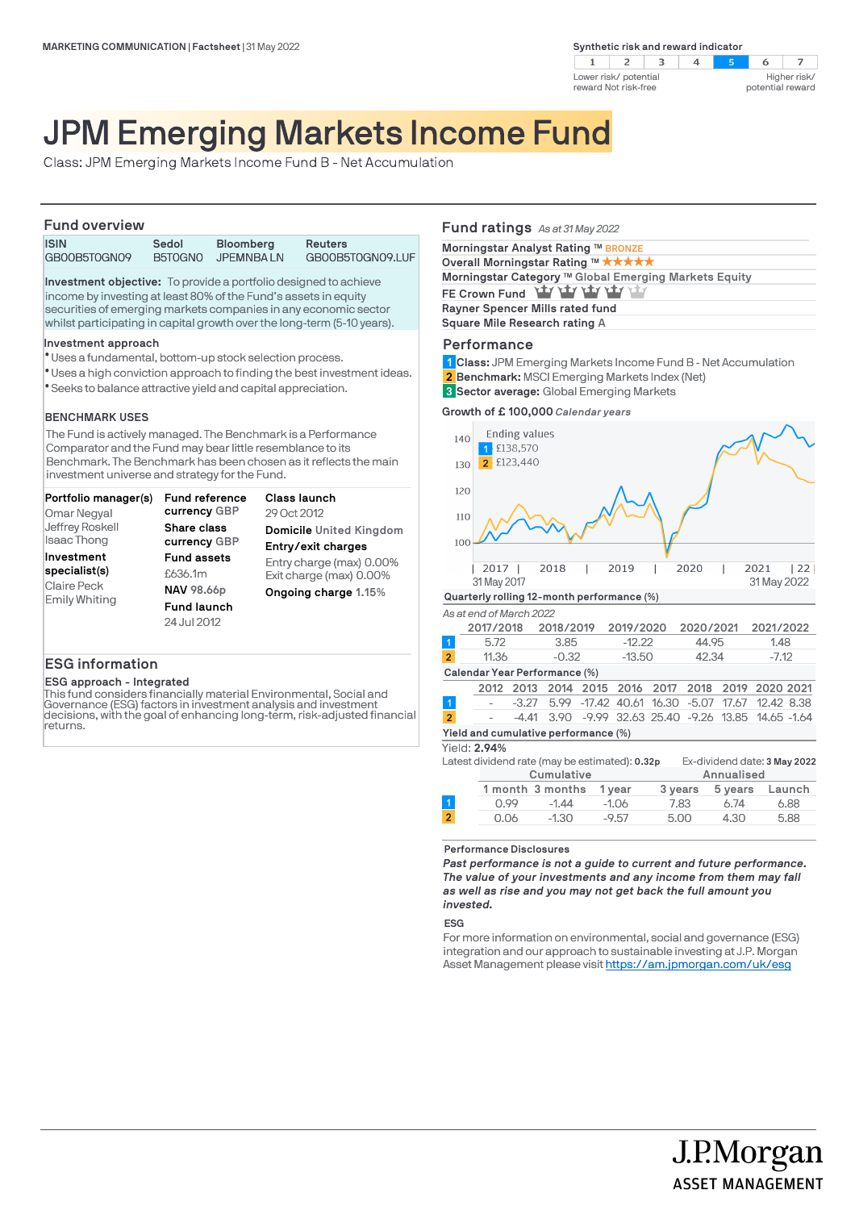**Synthetic risk and reward indicator** 





# JPM Emerging Markets Income Fund

Class: JPM Emerging Markets Income Fund B - Net Accumulation

# **Fund overview**

| .            |         |                  |                  |
|--------------|---------|------------------|------------------|
| <b>ISIN</b>  | Sedol   | <b>Bloomberg</b> | Reuters          |
| GB00B5T0GN09 | B5T0GNO | JPEMNBA LN       | GB00B5T0GN09.LUF |

**Investment objective:** To provide a portfolio designed to achieve income by investing at least 80% of the Fund's assets in equity securities of emerging markets companies in any economic sector whilst participating in capital growth over the long-term (5-10 years).

# **Investment approach**

- Uses a fundamental, bottom-up stock selection process. l
- Uses a high conviction approach to finding the best investment ideas. l
- Seeks to balance attractive yield and capital appreciation. l

# **BENCHMARK USES**

The Fund is actively managed. The Benchmark is a Performance Comparator and the Fund may bear little resemblance to its Benchmark. The Benchmark has been chosen as it reflects the main investment universe and strategy for the Fund.

| Portfolio manager(s)                                        | <b>Fund reference</b>                                                                   | Class launch                                                                |
|-------------------------------------------------------------|-----------------------------------------------------------------------------------------|-----------------------------------------------------------------------------|
| Omar Negyal                                                 | currency GBP                                                                            | 29 Oct 2012                                                                 |
| Jeffrey Roskell                                             | Share class                                                                             | Domicile United Kingdom                                                     |
| <b>Isaac Thong</b>                                          | currency GBP                                                                            | Entry/exit charges                                                          |
| Investment<br>specialist(s)<br>Claire Peck<br>Emily Whiting | <b>Fund assets</b><br>£636.1m<br><b>NAV 98.66p</b><br><b>Fund launch</b><br>24 Jul 2012 | Entry charge (max) 0.00%<br>Exit charge (max) 0.00%<br>Ongoing charge 1.15% |

# **ESG information**

# **ESG approach - Integrated**

This fund considers financially material Environmental, Social and Governance (ESG) factors in investment analysis and investment decisions, with the goal of enhancing long-term, risk-adjusted financial returns.

# **Fund ratings** *As at 31 May 2022*

| Morningstar Analyst Rating ™ BRONZE                   |
|-------------------------------------------------------|
| Overall Morningstar Rating ™ *****                    |
| Morningstar Category ™ Global Emerging Markets Equity |
| FE Crown Fund Yay Yay Yay Yay Yay                     |
| Rayner Spencer Mills rated fund                       |
| Square Mile Research rating A                         |
|                                                       |

# **Performance**

**Class:** JPM Emerging Markets Income Fund B - Net Accumulation **1**

- **Benchmark:** MSCI Emerging Markets Index (Net) **2**
- **Sector average:** Global Emerging Markets **3**

# **Growth of £ 100,000** *Calendar years*

| 140                                  |                                            | <b>Ending values</b><br>£138,570 |                                                |           |           |         |                   |            |                              |        |
|--------------------------------------|--------------------------------------------|----------------------------------|------------------------------------------------|-----------|-----------|---------|-------------------|------------|------------------------------|--------|
| 130                                  |                                            | £123,440                         |                                                |           |           |         |                   |            |                              |        |
| 120                                  |                                            |                                  |                                                |           |           |         |                   |            |                              |        |
| 110                                  |                                            |                                  |                                                |           |           |         |                   |            |                              |        |
| 100                                  |                                            |                                  |                                                |           |           |         |                   |            |                              |        |
|                                      | 2017<br>31 May 2017                        |                                  | 2018                                           |           | 2019      |         | 2020              |            | 2021<br>31 May 2022          | 22     |
|                                      | Quarterly rolling 12-month performance (%) |                                  |                                                |           |           |         |                   |            |                              |        |
|                                      | As at end of March 2022                    |                                  |                                                |           |           |         |                   |            |                              |        |
|                                      | 2017/2018                                  |                                  | 2018/2019                                      |           | 2019/2020 |         | 2020/2021         |            | 2021/2022                    |        |
| $\overline{1}$                       | 5.72                                       |                                  | 3.85                                           |           | $-12.22$  |         | 44.95             |            | 1.48                         |        |
| $\overline{2}$                       | 11.36                                      |                                  | $-0.32$                                        |           | $-13.50$  |         | 42.34             |            | $-7.12$                      |        |
|                                      |                                            |                                  | Calendar Year Performance (%)                  |           |           |         |                   |            |                              |        |
|                                      | 2012                                       | 2013                             |                                                | 2014 2015 | 2016      | 2017    | 2018              | 2019       | 2020 2021                    |        |
| -1                                   |                                            | $-3.27$                          | 5.99                                           | $-17.42$  | 40.61     | 16.30   | $-5.07$           | 17.67      | 12.42 8.38                   |        |
| $\overline{2}$                       |                                            | $-4.41$                          | 3.90                                           | $-9.99$   |           |         | 32.63 25.40 -9.26 | 13.85      | 14.65 -1.64                  |        |
| Yield and cumulative performance (%) |                                            |                                  |                                                |           |           |         |                   |            |                              |        |
| Yield: 2.94%                         |                                            |                                  |                                                |           |           |         |                   |            |                              |        |
|                                      |                                            |                                  | Latest dividend rate (may be estimated): 0.32p |           |           |         |                   |            | Ex-dividend date: 3 May 2022 |        |
|                                      |                                            |                                  | Cumulative                                     |           |           |         |                   | Annualised |                              |        |
|                                      |                                            |                                  | 1 month 3 months                               |           | 1 year    | 3 years |                   | 5 years    |                              | Launch |

**Performance Disclosures**

*Past performance is not a guide to current and future performance. The value of your investments and any income from them may fall as well as rise and you may not get back the full amount you invested.* 

0.99 -1.44 -1.06 7.83 6.74 6.88 0.06 -1.30 -9.57 5.00 4.30 5.88

#### **ESG**

For more information on environmental, social and governance (ESG) integration and our approach to sustainable investing at J.P. Morgan Asset Management please visit https://am.jpmorgan.com/uk/esg

J.P.Morgan

**ASSET MANAGEMENT**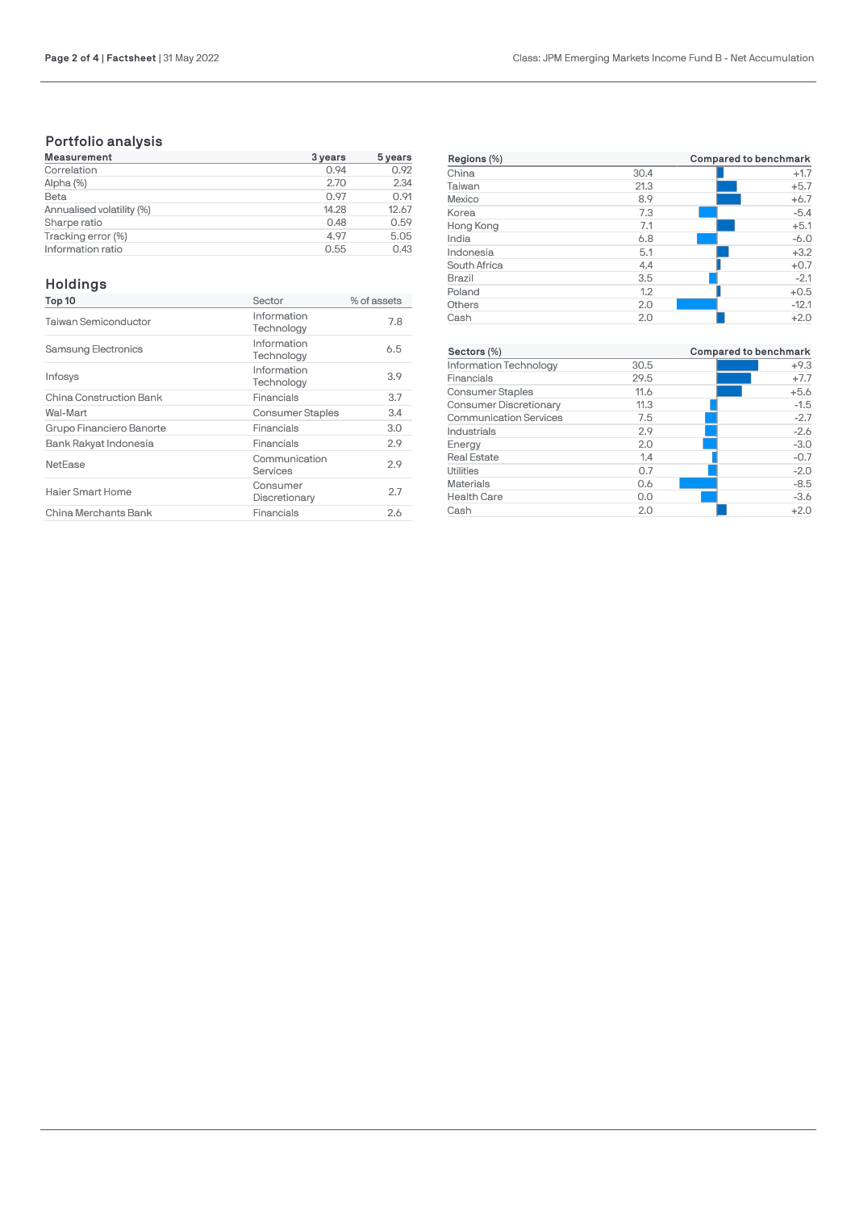# **Portfolio analysis**

| <b>Measurement</b>        | 3 years | 5 years |  |
|---------------------------|---------|---------|--|
| Correlation               | 0.94    | 0.92    |  |
| Alpha (%)                 | 2.70    | 2.34    |  |
| Beta                      | 0.97    | 0.91    |  |
| Annualised volatility (%) | 14.28   | 12.67   |  |
| Sharpe ratio              | 0.48    | 0.59    |  |
| Tracking error (%)        | 4.97    | 5.05    |  |
| Information ratio         | 0.55    | 0.43    |  |

# **Holdings**

| Top 10                      | Sector                    | % of assets |
|-----------------------------|---------------------------|-------------|
| <b>Taiwan Semiconductor</b> | Information<br>Technology | 7.8         |
| <b>Samsung Electronics</b>  | Information<br>Technology | 6.5         |
| Infosys                     | Information<br>Technology | 3.9         |
| China Construction Bank     | Financials                | 3.7         |
| Wal-Mart                    | <b>Consumer Staples</b>   | 3.4         |
| Grupo Financiero Banorte    | Financials                | 3.0         |
| Bank Rakyat Indonesia       | Financials                | 2.9         |
| NetEase                     | Communication<br>Services | 2.9         |
| Haier Smart Home            | Consumer<br>Discretionary | 2.7         |
| China Merchants Bank        | Financials                | 2.6         |

| Regions (%)   |      | Compared to benchmark |
|---------------|------|-----------------------|
| China         | 30.4 | $+1.7$                |
| Taiwan        | 21.3 | $+5.7$                |
| Mexico        | 8.9  | $+6.7$                |
| Korea         | 7.3  | $-5.4$                |
| Hong Kong     | 7.1  | $+5.1$                |
| India         | 6.8  | $-6.0$                |
| Indonesia     | 5.1  | $+3.2$                |
| South Africa  | 4.4  | $+0.7$                |
| <b>Brazil</b> | 3.5  | $-2.1$                |
| Poland        | 1.2  | $+0.5$                |
| Others        | 2.0  | $-12.1$               |
| Cash          | 2.0  | $+2.0$                |

| Sectors (%)                   |      | Compared to benchmark |
|-------------------------------|------|-----------------------|
| Information Technology        | 30.5 | $+9.3$                |
| Financials                    | 29.5 | $+7.7$                |
| <b>Consumer Staples</b>       | 11.6 | $+5.6$                |
| <b>Consumer Discretionary</b> | 11.3 | $-1.5$                |
| <b>Communication Services</b> | 7.5  | $-2.7$                |
| Industrials                   | 2.9  | $-2.6$                |
| Energy                        | 2.0  | $-3.0$                |
| <b>Real Estate</b>            | 1.4  | $-0.7$                |
| <b>Utilities</b>              | 0.7  | $-2.0$                |
| <b>Materials</b>              | 0.6  | $-8.5$                |
| <b>Health Care</b>            | 0.0  | $-3.6$                |
| Cash                          | 2.0  | $+2.0$                |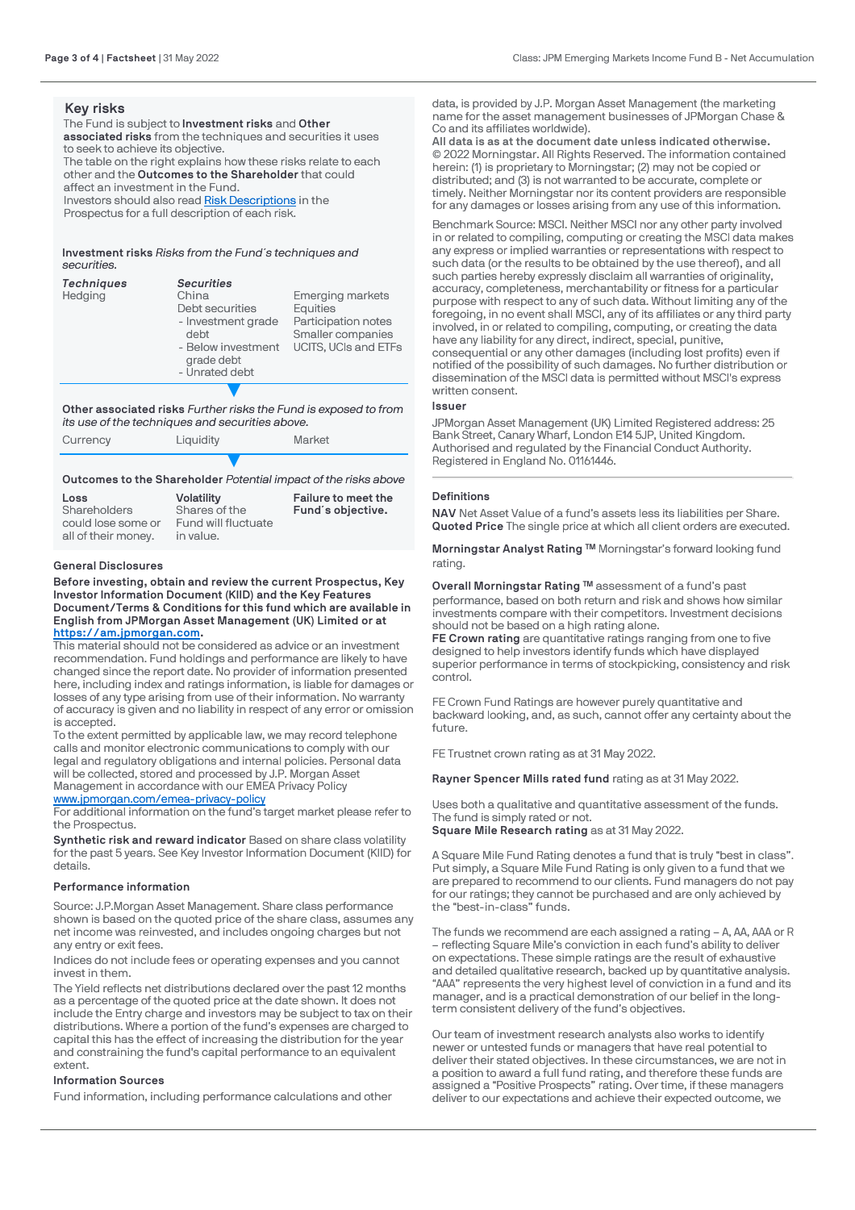# **Key risks**

The Fund is subject to **Investment risks** and **Other associated risks** from the techniques and securities it uses to seek to achieve its objective. The table on the right explains how these risks relate to each other and the **Outcomes to the Shareholder** that could affect an investment in the Fund.

Investors should also read [Risk Descriptions](https://am.jpmorgan.com/gb/en/asset-management/adv/products/fund-explorer/oeics) in the Prospectus for a full description of each risk.

**Investment risks** *Risks from the Fund´s techniques and securities.*

| <b>Techniques</b><br>Hedging | <b>Securities</b><br>China<br>Debt securities<br>- Investment grade<br>debt<br>- Below investment<br>grade debt<br>- Unrated debt | <b>Emerging markets</b><br>Equities<br>Participation notes<br>Smaller companies<br><b>UCITS, UCIs and ETFs</b> |
|------------------------------|-----------------------------------------------------------------------------------------------------------------------------------|----------------------------------------------------------------------------------------------------------------|
|                              |                                                                                                                                   |                                                                                                                |

**Other associated risks** *Further risks the Fund is exposed to from its use of the techniques and securities above.*

| Currency | Liauidity | Market                                                          |
|----------|-----------|-----------------------------------------------------------------|
|          |           | Outcomes to the Shareholder Potential impact of the risks above |

#### **Loss Shareholders** could lose some or all of their money. **Volatility** Shares of the Fund will fluctuate in value. **Failure to meet the Fund´s objective.**

# **General Disclosures**

**Before investing, obtain and review the current Prospectus, Key Investor Information Document (KIID) and the Key Features Document/Terms & Conditions for this fund which are available in English from JPMorgan Asset Management (UK) Limited or at [https://am.jpmorgan.com](https://am.jpmorgan.com/).** 

This material should not be considered as advice or an investment recommendation. Fund holdings and performance are likely to have changed since the report date. No provider of information presented here, including index and ratings information, is liable for damages or losses of any type arising from use of their information. No warranty of accuracy is given and no liability in respect of any error or omission is accepted.

To the extent permitted by applicable law, we may record telephone calls and monitor electronic communications to comply with our legal and regulatory obligations and internal policies. Personal data will be collected, stored and processed by J.P. Morgan Asset Management in accordance with our EMEA Privacy Policy [www.jpmorgan.com/emea-privacy-policy](https://www.jpmorgan.com/emea-privacy-policy)

For additional information on the fund's target market please refer to the Prospectus.

**Synthetic risk and reward indicator** Based on share class volatility for the past 5 years. See Key Investor Information Document (KIID) for details.

# **Performance information**

Source: J.P.Morgan Asset Management. Share class performance shown is based on the quoted price of the share class, assumes any net income was reinvested, and includes ongoing charges but not any entry or exit fees.

Indices do not include fees or operating expenses and you cannot invest in them.

The Yield reflects net distributions declared over the past 12 months as a percentage of the quoted price at the date shown. It does not include the Entry charge and investors may be subject to tax on their distributions. Where a portion of the fund's expenses are charged to capital this has the effect of increasing the distribution for the year and constraining the fund's capital performance to an equivalent extent.

# **Information Sources**

Fund information, including performance calculations and other

data, is provided by J.P. Morgan Asset Management (the marketing name for the asset management businesses of JPMorgan Chase & Co and its affiliates worldwide).

**All data is as at the document date unless indicated otherwise.** © 2022 Morningstar. All Rights Reserved. The information contained herein: (1) is proprietary to Morningstar; (2) may not be copied or distributed; and (3) is not warranted to be accurate, complete or timely. Neither Morningstar nor its content providers are responsible for any damages or losses arising from any use of this information.

[Benchmark Source: MSCI. Ne](https://am.jpmorgan.com/)ither MSCI nor any other party involved in or related to compiling, computing or creating the MSCI data makes any express or implied warranties or representations with respect to such data (or the results to be obtained by the use thereof), and all such parties hereby expressly disclaim all warranties of originality, accuracy, completeness, merchantability or fitness for a particular purpose with respect to any of such data. Without limiting any of the foregoing, in no event shall MSCI, any of its affiliates or any third party involved, in or related to compiling, computing, or creating the data have any liability for any direct, indirect, special, punitive, consequential or any other damages (including lost profits) even if notified of the possibility of such damages. No further distribution or [dissemination of the MSCI data is permitt](https://www.jpmorgan.com/emea-privacy-policy)ed without MSCI's express written consent.

### **Issuer**

JPMorgan Asset Management (UK) Limited Registered address: 25 Bank Street, Canary Wharf, London E14 5JP, United Kingdom. Authorised and regulated by the Financial Conduct Authority. Registered in England No. 01161446.

# **Definitions**

**NAV** Net Asset Value of a fund's assets less its liabilities per Share. **Quoted Price** The single price at which all client orders are executed.

**Morningstar Analyst Rating ™** Morningstar's forward looking fund rating.

**Overall Morningstar Rating ™** assessment of a fund's past performance, based on both return and risk and shows how similar investments compare with their competitors. Investment decisions should not be based on a high rating alone.

**FE Crown rating** are quantitative ratings ranging from one to five designed to help investors identify funds which have displayed superior performance in terms of stockpicking, consistency and risk control.

FE Crown Fund Ratings are however purely quantitative and backward looking, and, as such, cannot offer any certainty about the future.

FE Trustnet crown rating as at 31 May 2022.

**Rayner Spencer Mills rated fund** rating as at 31 May 2022.

Uses both a qualitative and quantitative assessment of the funds. The fund is simply rated or not. **Square Mile Research rating** as at 31 May 2022.

A Square Mile Fund Rating denotes a fund that is truly "best in class". Put simply, a Square Mile Fund Rating is only given to a fund that we are prepared to recommend to our clients. Fund managers do not pay for our ratings; they cannot be purchased and are only achieved by the "best-in-class" funds.

The funds we recommend are each assigned a rating – A, AA, AAA or R – reflecting Square Mile's conviction in each fund's ability to deliver on expectations. These simple ratings are the result of exhaustive and detailed qualitative research, backed up by quantitative analysis. "AAA" represents the very highest level of conviction in a fund and its manager, and is a practical demonstration of our belief in the longterm consistent delivery of the fund's objectives.

Our team of investment research analysts also works to identify newer or untested funds or managers that have real potential to deliver their stated objectives. In these circumstances, we are not in a position to award a full fund rating, and therefore these funds are assigned a "Positive Prospects" rating. Over time, if these managers deliver to our expectations and achieve their expected outcome, we